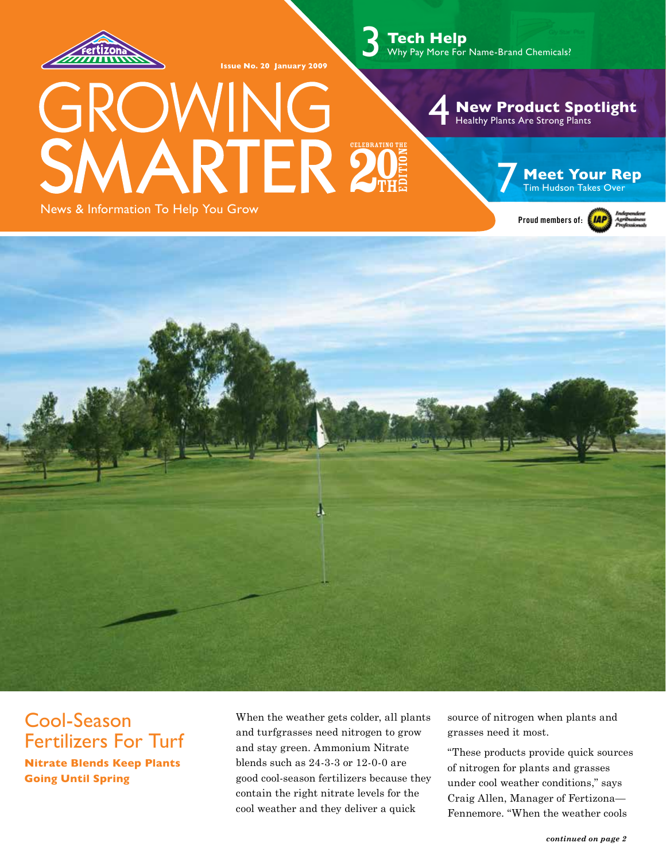

**Issue No. 20 January 2009**

3 **Tech Help** Why Pay More For Name-Brand Chemicals?

#### 4 **New Product Spotlight** Healthy Plants Are Strong Plants **7 Meet Your Rep** 20 Tim Hudson Takes Over Tim Hudson Takes Over itio n**TH** Celebrating the 27 Edition the second control of the second control of the second control of the second control of the second control of the second control of the second control of the second control of the second control of the second control of th

News & Information To Help You Grow





# Cool-Season Fertilizers For Turf

**Nitrate Blends Keep Plants Going Until Spring**

When the weather gets colder, all plants and turfgrasses need nitrogen to grow and stay green. Ammonium Nitrate blends such as 24-3-3 or 12-0-0 are good cool-season fertilizers because they contain the right nitrate levels for the cool weather and they deliver a quick

source of nitrogen when plants and grasses need it most.

"These products provide quick sources of nitrogen for plants and grasses under cool weather conditions," says Craig Allen, Manager of Fertizona— Fennemore. "When the weather cools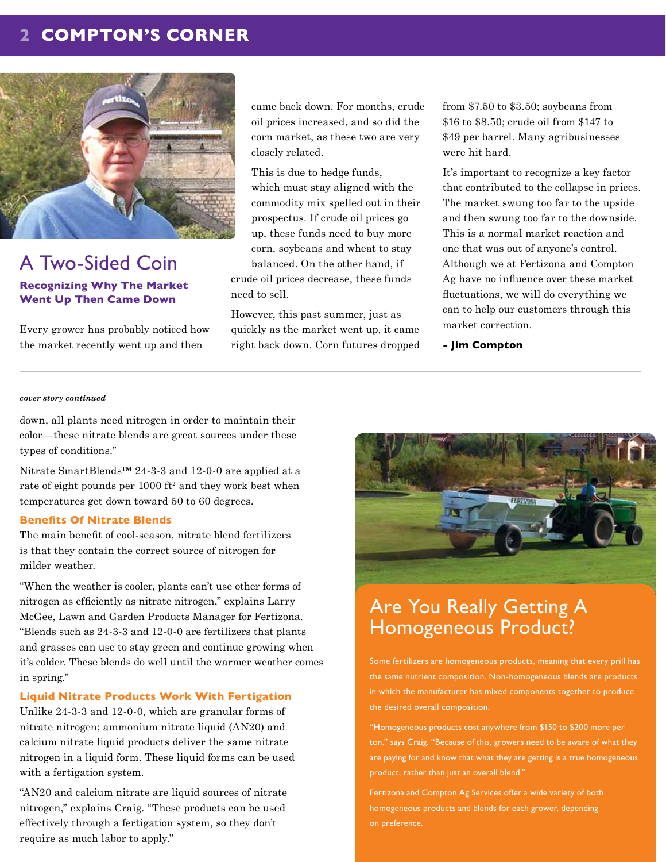## **2 COMPTON'S CORNER**



## A Two-Sided Coin **Recognizing Why The Market Went Up Then Came Down**

Every grower has probably noticed how the market recently went up and then

came back down. For months, crude oil prices increased, and so did the corn market, as these two are very closely related.

This is due to hedge funds, which must stay aligned with the commodity mix spelled out in their prospectus. If crude oil prices go up, these funds need to buy more corn, soybeans and wheat to stay balanced. On the other hand, if crude oil prices decrease, these funds need to sell.

However, this past summer, just as quickly as the market went up, it came right back down. Corn futures dropped from \$7.50 to \$3.50; soybeans from \$16 to \$8.50; crude oil from \$147 to \$49 per barrel. Many agribusinesses were hit hard.

It's important to recognize a key factor that contributed to the collapse in prices. The market swung too far to the upside and then swung too far to the downside. This is a normal market reaction and one that was out of anyone's control. Although we at Fertizona and Compton Ag have no influence over these market fluctuations, we will do everything we can to help our customers through this market correction.

**- Jim Compton**

#### *cover story continued*

down, all plants need nitrogen in order to maintain their color—these nitrate blends are great sources under these types of conditions."

Nitrate SmartBlends™ 24-3-3 and 12-0-0 are applied at a rate of eight pounds per 1000 ft² and they work best when temperatures get down toward 50 to 60 degrees.

#### **Benefits Of Nitrate Blends**

The main benefit of cool-season, nitrate blend fertilizers is that they contain the correct source of nitrogen for milder weather.

"When the weather is cooler, plants can't use other forms of nitrogen as efficiently as nitrate nitrogen," explains Larry McGee, Lawn and Garden Products Manager for Fertizona. "Blends such as 24-3-3 and 12-0-0 are fertilizers that plants and grasses can use to stay green and continue growing when it's colder. These blends do well until the warmer weather comes in spring."

#### **Liquid Nitrate Products Work With Fertigation**

Unlike 24-3-3 and 12-0-0, which are granular forms of nitrate nitrogen; ammonium nitrate liquid (AN20) and calcium nitrate liquid products deliver the same nitrate nitrogen in a liquid form. These liquid forms can be used with a fertigation system.

"AN20 and calcium nitrate are liquid sources of nitrate nitrogen," explains Craig. "These products can be used effectively through a fertigation system, so they don't require as much labor to apply."



# Are You Really Getting A Homogeneous Product?

Some fertilizers are homogeneous products, meaning that every prill has the same nutrient composition. Non-homogeneous blends are products in which the manufacturer has mixed components together to produce the desired overall composition.

"Homogeneous products cost anywhere from \$150 to \$200 more per ton," says Craig. "Because of this, growers need to be aware of what they are paying for and know that what they are getting is a true homogeneous product, rather than just an overall blend."

Fertizona and Compton Ag Services offer a wide variety of both homogeneous products and blends for each grower, depending on preference.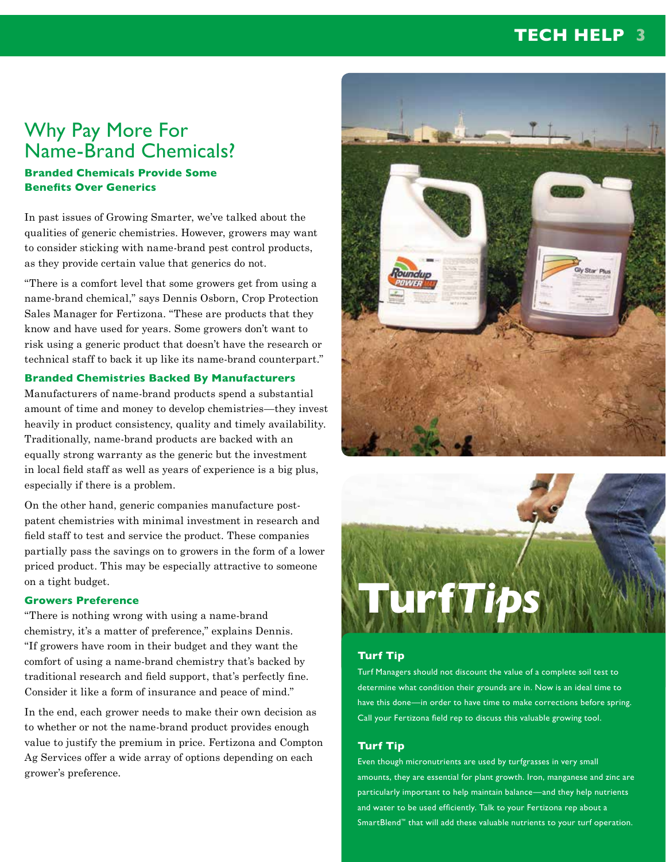# **TECH HELP 3**

# Why Pay More For Name-Brand Chemicals?

#### **Branded Chemicals Provide Some Benefits Over Generics**

In past issues of Growing Smarter, we've talked about the qualities of generic chemistries. However, growers may want to consider sticking with name-brand pest control products, as they provide certain value that generics do not.

"There is a comfort level that some growers get from using a name-brand chemical," says Dennis Osborn, Crop Protection Sales Manager for Fertizona. "These are products that they know and have used for years. Some growers don't want to risk using a generic product that doesn't have the research or technical staff to back it up like its name-brand counterpart."

#### **Branded Chemistries Backed By Manufacturers**

Manufacturers of name-brand products spend a substantial amount of time and money to develop chemistries—they invest heavily in product consistency, quality and timely availability. Traditionally, name-brand products are backed with an equally strong warranty as the generic but the investment in local field staff as well as years of experience is a big plus, especially if there is a problem.

On the other hand, generic companies manufacture postpatent chemistries with minimal investment in research and field staff to test and service the product. These companies partially pass the savings on to growers in the form of a lower priced product. This may be especially attractive to someone on a tight budget.

#### **Growers Preference**

"There is nothing wrong with using a name-brand chemistry, it's a matter of preference," explains Dennis. "If growers have room in their budget and they want the comfort of using a name-brand chemistry that's backed by traditional research and field support, that's perfectly fine. Consider it like a form of insurance and peace of mind."

In the end, each grower needs to make their own decision as to whether or not the name-brand product provides enough value to justify the premium in price. Fertizona and Compton Ag Services offer a wide array of options depending on each grower's preference.





#### **Turf Tip**

Turf Managers should not discount the value of a complete soil test to determine what condition their grounds are in. Now is an ideal time to have this done—in order to have time to make corrections before spring. Call your Fertizona field rep to discuss this valuable growing tool.

#### **Turf Tip**

Even though micronutrients are used by turfgrasses in very small amounts, they are essential for plant growth. Iron, manganese and zinc are particularly important to help maintain balance—and they help nutrients and water to be used efficiently. Talk to your Fertizona rep about a SmartBlend™ that will add these valuable nutrients to your turf operation.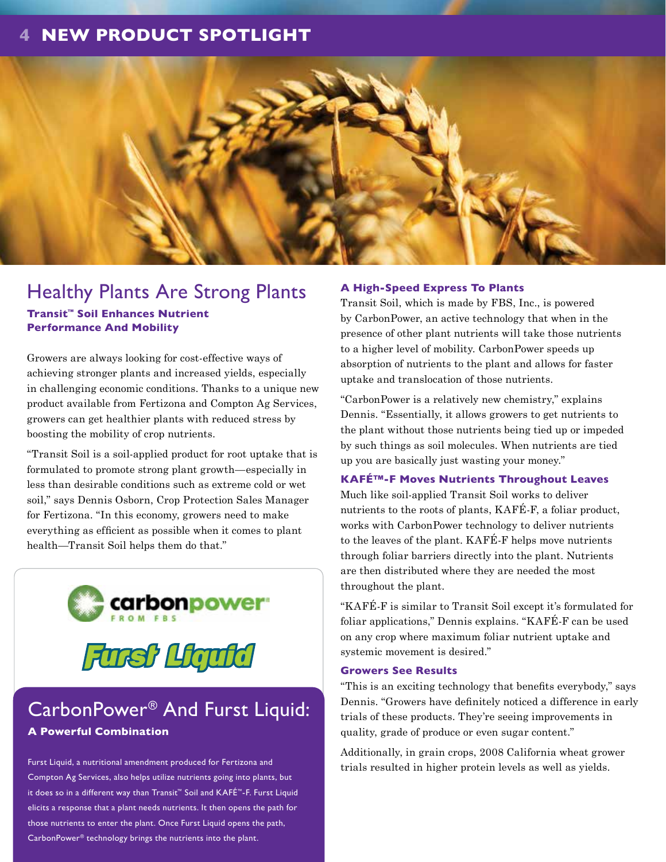## **4 NEW PRODUCT SPOTLIGHT**



# Healthy Plants Are Strong Plants

**Transit™ Soil Enhances Nutrient Performance And Mobility**

Growers are always looking for cost-effective ways of achieving stronger plants and increased yields, especially in challenging economic conditions. Thanks to a unique new product available from Fertizona and Compton Ag Services, growers can get healthier plants with reduced stress by boosting the mobility of crop nutrients.

"Transit Soil is a soil-applied product for root uptake that is formulated to promote strong plant growth—especially in less than desirable conditions such as extreme cold or wet soil," says Dennis Osborn, Crop Protection Sales Manager for Fertizona. "In this economy, growers need to make everything as efficient as possible when it comes to plant health—Transit Soil helps them do that."





# CarbonPower® And Furst Liquid:

#### **A Powerful Combination**

Furst Liquid, a nutritional amendment produced for Fertizona and Compton Ag Services, also helps utilize nutrients going into plants, but it does so in a different way than Transit™ Soil and KAFÉ™-F. Furst Liquid elicits a response that a plant needs nutrients. It then opens the path for those nutrients to enter the plant. Once Furst Liquid opens the path, CarbonPower® technology brings the nutrients into the plant.

#### **A High-Speed Express To Plants**

Transit Soil, which is made by FBS, Inc., is powered by CarbonPower, an active technology that when in the presence of other plant nutrients will take those nutrients to a higher level of mobility. CarbonPower speeds up absorption of nutrients to the plant and allows for faster uptake and translocation of those nutrients.

"CarbonPower is a relatively new chemistry," explains Dennis. "Essentially, it allows growers to get nutrients to the plant without those nutrients being tied up or impeded by such things as soil molecules. When nutrients are tied up you are basically just wasting your money."

#### **KAFÉ™-F Moves Nutrients Throughout Leaves**

Much like soil-applied Transit Soil works to deliver nutrients to the roots of plants, KAFÉ-F, a foliar product, works with CarbonPower technology to deliver nutrients to the leaves of the plant. KAFÉ-F helps move nutrients through foliar barriers directly into the plant. Nutrients are then distributed where they are needed the most throughout the plant.

"KAFÉ-F is similar to Transit Soil except it's formulated for foliar applications," Dennis explains. "KAFÉ-F can be used on any crop where maximum foliar nutrient uptake and systemic movement is desired."

#### **Growers See Results**

"This is an exciting technology that benefits everybody," says Dennis. "Growers have definitely noticed a difference in early trials of these products. They're seeing improvements in quality, grade of produce or even sugar content."

Additionally, in grain crops, 2008 California wheat grower trials resulted in higher protein levels as well as yields.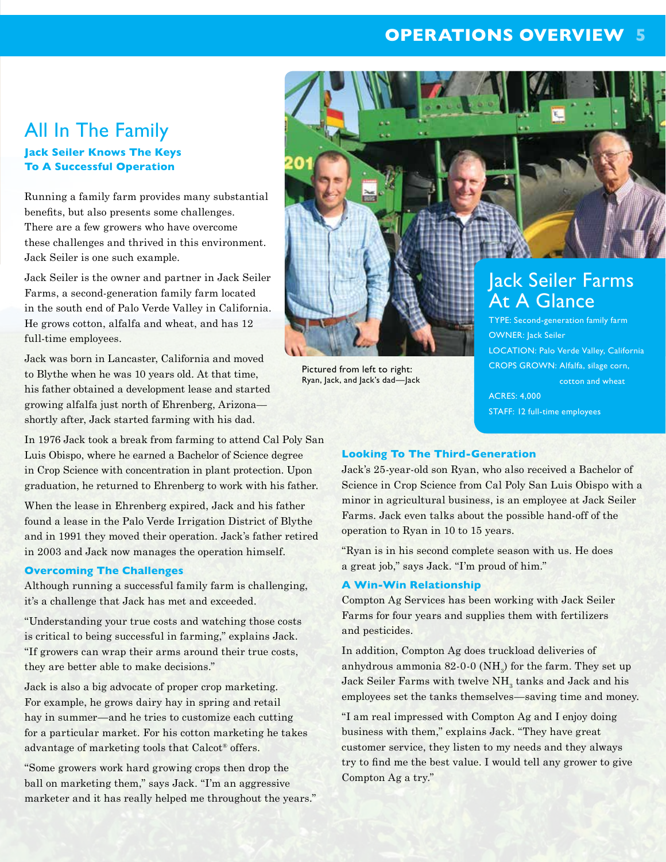## **OPERATIONS OVERVIEW 5**

# All In The Family

#### **Jack Seiler Knows The Keys To A Successful Operation**

Running a family farm provides many substantial benefits, but also presents some challenges. There are a few growers who have overcome these challenges and thrived in this environment. Jack Seiler is one such example.

Jack Seiler is the owner and partner in Jack Seiler Farms, a second-generation family farm located in the south end of Palo Verde Valley in California. He grows cotton, alfalfa and wheat, and has 12 full-time employees.

Jack was born in Lancaster, California and moved to Blythe when he was 10 years old. At that time, his father obtained a development lease and started growing alfalfa just north of Ehrenberg, Arizona shortly after, Jack started farming with his dad.

In 1976 Jack took a break from farming to attend Cal Poly San Luis Obispo, where he earned a Bachelor of Science degree in Crop Science with concentration in plant protection. Upon graduation, he returned to Ehrenberg to work with his father.

When the lease in Ehrenberg expired, Jack and his father found a lease in the Palo Verde Irrigation District of Blythe and in 1991 they moved their operation. Jack's father retired in 2003 and Jack now manages the operation himself.

#### **Overcoming The Challenges**

Although running a successful family farm is challenging, it's a challenge that Jack has met and exceeded.

"Understanding your true costs and watching those costs is critical to being successful in farming," explains Jack. "If growers can wrap their arms around their true costs, they are better able to make decisions."

Jack is also a big advocate of proper crop marketing. For example, he grows dairy hay in spring and retail hay in summer—and he tries to customize each cutting for a particular market. For his cotton marketing he takes advantage of marketing tools that Calcot® offers.

"Some growers work hard growing crops then drop the ball on marketing them," says Jack. "I'm an aggressive marketer and it has really helped me throughout the years."



Pictured from left to right: Ryan, Jack, and Jack's dad—Jack

CROPS GROWN: Alfalfa, silage corn, cotton and wheat ACRES: 4,000

STAFF: 12 full-time employees

#### **Looking To The Third-Generation**

Jack's 25-year-old son Ryan, who also received a Bachelor of Science in Crop Science from Cal Poly San Luis Obispo with a minor in agricultural business, is an employee at Jack Seiler Farms. Jack even talks about the possible hand-off of the operation to Ryan in 10 to 15 years.

"Ryan is in his second complete season with us. He does a great job," says Jack. "I'm proud of him."

#### **A Win-Win Relationship**

Compton Ag Services has been working with Jack Seiler Farms for four years and supplies them with fertilizers and pesticides.

In addition, Compton Ag does truckload deliveries of anhydrous ammonia  $82-0-0$  (NH $_{\circ}$ ) for the farm. They set up Jack Seiler Farms with twelve  $\mathrm{NH}_\mathrm{_3}$  tanks and Jack and his employees set the tanks themselves—saving time and money.

"I am real impressed with Compton Ag and I enjoy doing business with them," explains Jack. "They have great customer service, they listen to my needs and they always try to find me the best value. I would tell any grower to give Compton Ag a try."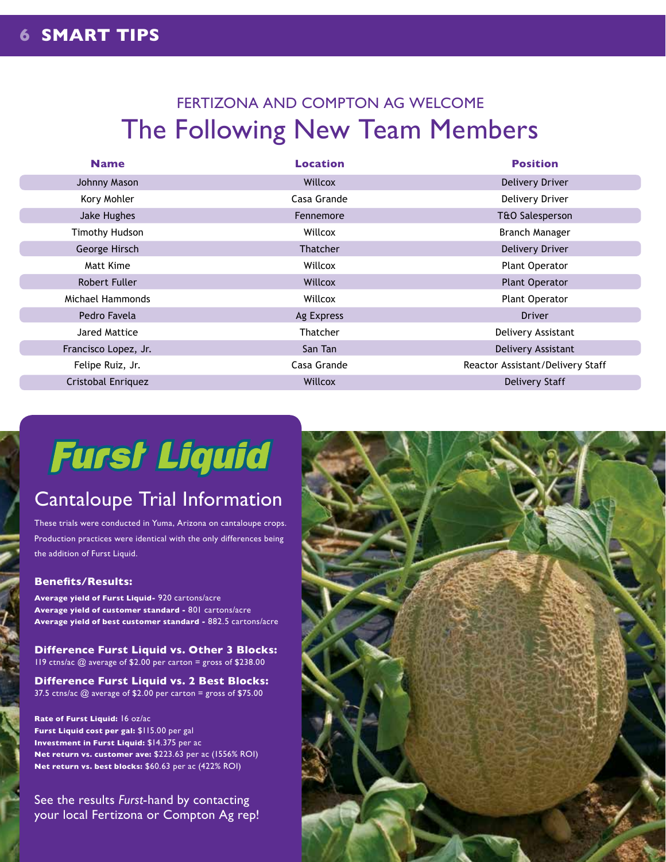# FERTIZONA AND COMPTON AG WELCOME The Following New Team Members

| <b>Name</b>          | <b>Location</b> | <b>Position</b>                  |
|----------------------|-----------------|----------------------------------|
| Johnny Mason         | Willcox         | Delivery Driver                  |
| Kory Mohler          | Casa Grande     | Delivery Driver                  |
| Jake Hughes          | Fennemore       | T&O Salesperson                  |
| Timothy Hudson       | Willcox         | <b>Branch Manager</b>            |
| George Hirsch        | <b>Thatcher</b> | Delivery Driver                  |
| Matt Kime            | Willcox         | Plant Operator                   |
| Robert Fuller        | Willcox         | <b>Plant Operator</b>            |
| Michael Hammonds     | Willcox         | <b>Plant Operator</b>            |
| Pedro Favela         | Ag Express      | <b>Driver</b>                    |
| Jared Mattice        | <b>Thatcher</b> | Delivery Assistant               |
| Francisco Lopez, Jr. | San Tan         | Delivery Assistant               |
| Felipe Ruiz, Jr.     | Casa Grande     | Reactor Assistant/Delivery Staff |
| Cristobal Enriquez   | Willcox         | <b>Delivery Staff</b>            |

# **Furst Liquid**

# Cantaloupe Trial Information

These trials were conducted in Yuma, Arizona on cantaloupe crops. Production practices were identical with the only differences being the addition of Furst Liquid.

#### **Benefits/Results:**

**Average yield of Furst Liquid-** 920 cartons/acre **Average yield of customer standard -** 801 cartons/acre **Average yield of best customer standard -** 882.5 cartons/acre

**Difference Furst Liquid vs. Other 3 Blocks:** 119 ctns/ac @ average of \$2.00 per carton = gross of \$238.00

**Difference Furst Liquid vs. 2 Best Blocks:** 37.5 ctns/ac @ average of \$2.00 per carton = gross of \$75.00

**Rate of Furst Liquid:** 16 oz/ac **Furst Liquid cost per gal:** \$115.00 per gal **Investment in Furst Liquid:** \$14.375 per ac **Net return vs. customer ave:** \$223.63 per ac (1556% ROI) **Net return vs. best blocks:** \$60.63 per ac (422% ROI)

See the results *Furst*-hand by contacting your local Fertizona or Compton Ag rep!

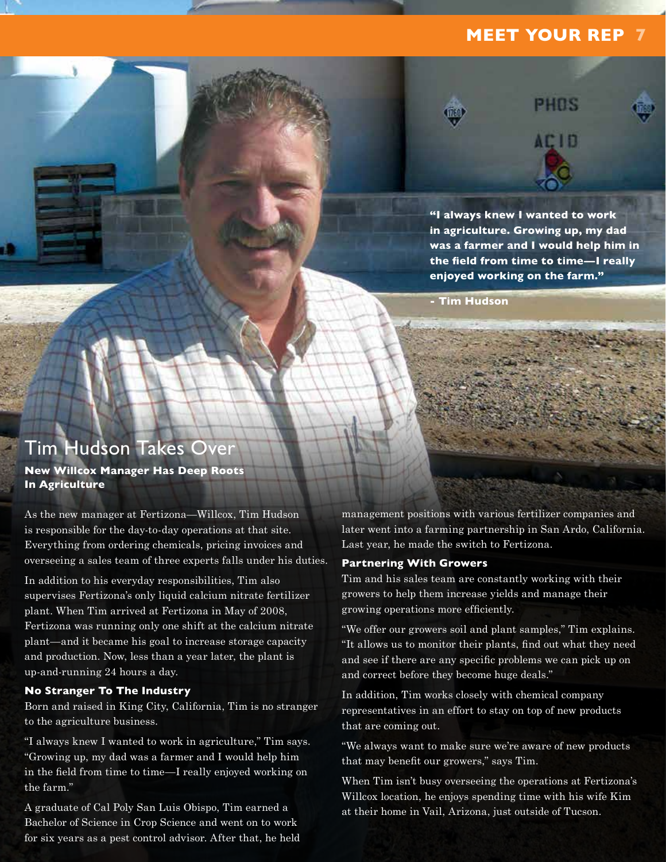### **MEET YOUR REP 7**

PHOS



**"I always knew I wanted to work in agriculture. Growing up, my dad was a farmer and I would help him in the field from time to time—I really enjoyed working on the farm."**

**- Tim Hudson**

## Tim Hudson Takes Over

**New Willcox Manager Has Deep Roots In Agriculture** 

As the new manager at Fertizona—Willcox, Tim Hudson is responsible for the day-to-day operations at that site. Everything from ordering chemicals, pricing invoices and overseeing a sales team of three experts falls under his duties.

In addition to his everyday responsibilities, Tim also supervises Fertizona's only liquid calcium nitrate fertilizer plant. When Tim arrived at Fertizona in May of 2008, Fertizona was running only one shift at the calcium nitrate plant—and it became his goal to increase storage capacity and production. Now, less than a year later, the plant is up-and-running 24 hours a day.

#### **No Stranger To The Industry**

Born and raised in King City, California, Tim is no stranger to the agriculture business.

"I always knew I wanted to work in agriculture," Tim says. "Growing up, my dad was a farmer and I would help him in the field from time to time—I really enjoyed working on the farm."

A graduate of Cal Poly San Luis Obispo, Tim earned a Bachelor of Science in Crop Science and went on to work for six years as a pest control advisor. After that, he held management positions with various fertilizer companies and later went into a farming partnership in San Ardo, California. Last year, he made the switch to Fertizona.

#### **Partnering With Growers**

Tim and his sales team are constantly working with their growers to help them increase yields and manage their growing operations more efficiently.

"We offer our growers soil and plant samples," Tim explains. "It allows us to monitor their plants, find out what they need and see if there are any specific problems we can pick up on and correct before they become huge deals."

In addition, Tim works closely with chemical company representatives in an effort to stay on top of new products that are coming out.

"We always want to make sure we're aware of new products that may benefit our growers," says Tim.

When Tim isn't busy overseeing the operations at Fertizona's Willcox location, he enjoys spending time with his wife Kim at their home in Vail, Arizona, just outside of Tucson.